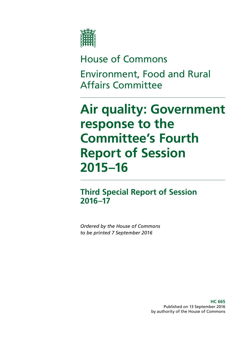

# House of Commons

Environment, Food and Rural Affairs Committee

# **Air quality: Government response to the Committee's Fourth Report of Session 2015–16**

**Third Special Report of Session 2016–17**

*Ordered by the House of Commons to be printed 7 September 2016*

> **HC 665** Published on 13 September 2016 by authority of the House of Commons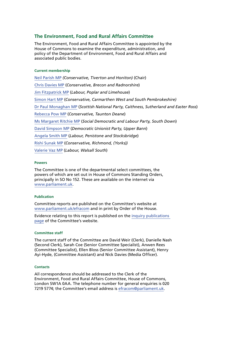#### **The Environment, Food and Rural Affairs Committee**

The Environment, Food and Rural Affairs Committee is appointed by the House of Commons to examine the expenditure, administration, and policy of the Department of Environment, Food and Rural Affairs and associated public bodies.

#### **Current membership**

[Neil Parish MP](http://www.parliament.uk/biographies/commons/neil-parish/4072) *(Conservative, Tiverton and Honiton)* (Chair) [Chris Davies MP](http://www.parliament.uk/biographies/commons/chris-davies/4376) (*Conservative, Brecon and Radnorshire*) [Jim Fitzpatrick MP](http://www.parliament.uk/biographies/commons/jim-fitzpatrick/197) (*Labour, Poplar and Limehouse*) [Simon Hart MP](http://www.parliament.uk/biographies/commons/simon-hart/3944) (*Conservative, Carmarthen West and South Pembrokeshire)* [Dr Paul Monaghan MP](http://www.parliament.uk/biographies/commons/dr-paul-monaghan/4383) (*Scottish National Party, Caithness, Sutherland and Easter Ross*) [Rebecca Pow MP](http://www.parliament.uk/biographies/commons/rebecca-pow/4522) (*Conservative, Taunton Deane*) [Ms Margaret Ritchie MP](http://www.parliament.uk/biographies/commons/ms-margaret-ritchie/4130) (*Social Democratic and Labour Party, South Down*) [David Simpson MP](http://www.parliament.uk/biographies/commons/david-simpson/1597) (*Democratic Unionist Party, Upper Bann*) [Angela Smith MP](http://www.parliament.uk/biographies/commons/angela-smith/1564) (*Labour, Penistone and Stocksbridge*) [Rishi Sunak MP](http://www.parliament.uk/biographies/commons/rishi-sunak/4483) (*Conservative, Richmond, (Yorks))* [Valerie Vaz MP](http://www.parliament.uk/biographies/commons/valerie-vaz/4076) (*Labour, Walsall South*)

#### **Powers**

The Committee is one of the departmental select committees, the powers of which are set out in House of Commons Standing Orders, principally in SO No 152. These are available on the internet via [www.parliament.uk](http://www.parliament.uk/).

#### **Publication**

Committee reports are published on the Committee's website at [www.parliament.uk/efracom](http://www.parliament.uk/efracom) and in print by Order of the House.

Evidence relating to this report is published on the [inquiry publications](http://www.parliament.uk/business/committees/committees-a-z/commons-select/environment-food-and-rural-affairs-committee/inquiries/parliament-2015/defra-air-quality/publications/)  [page](http://www.parliament.uk/business/committees/committees-a-z/commons-select/environment-food-and-rural-affairs-committee/inquiries/parliament-2015/defra-air-quality/publications/) of the Committee's website.

#### **Committee staff**

The current staff of the Committee are David Weir (Clerk), Danielle Nash (Second Clerk), Sarah Coe (Senior Committee Specialist), Anwen Rees (Committee Specialist), Ellen Bloss (Senior Committee Assistant), Henry Ayi-Hyde, (Committee Assistant) and Nick Davies (Media Officer).

#### **Contacts**

All correspondence should be addressed to the Clerk of the Environment, Food and Rural Affairs Committee, House of Commons, London SW1A 0AA. The telephone number for general enquiries is 020 7219 5774; the Committee's email address is [efracom@parliament.uk.](mailto:efracom@parliament.uk)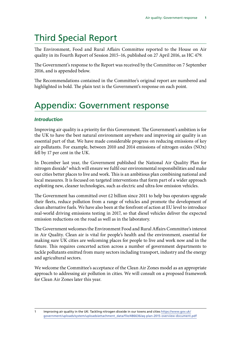# Third Special Report

The Environment, Food and Rural Affairs Committee reported to the House on Air quality in its Fourth Report of Session 2015–16, published on 27 April 2016, as HC 479.

The Government's response to the Report was received by the Committee on 7 September 2016, and is appended below.

The Recommendations contained in the Committee's original report are numbered and highlighted in bold. The plain text is the Government's response on each point.

# Appendix: Government response

# *Introduction*

Improving air quality is a priority for this Government. The Government's ambition is for the UK to have the best natural environment anywhere and improving air quality is an essential part of that. We have made considerable progress on reducing emissions of key air pollutants. For example, between 2010 and 2014 emissions of nitrogen oxides (NOx) fell by 17 per cent in the UK.

In December last year, the Government published the National Air Quality Plan for nitrogen dioxide<sup>1</sup> which will ensure we fulfil our environmental responsibilities and make our cities better places to live and work. This is an ambitious plan combining national and local measures. It is focused on targeted interventions that form part of a wider approach exploiting new, cleaner technologies, such as electric and ultra-low emission vehicles.

The Government has committed over £2 billion since 2011 to help bus operators upgrade their fleets, reduce pollution from a range of vehicles and promote the development of clean alternative fuels. We have also been at the forefront of action at EU level to introduce real-world driving emissions testing in 2017, so that diesel vehicles deliver the expected emission reductions on the road as well as in the laboratory.

The Government welcomes the Environment Food and Rural Affairs Committee's interest in Air Quality. Clean air is vital for people's health and the environment, essential for making sure UK cities are welcoming places for people to live and work now and in the future. This requires concerted action across a number of government departments to tackle pollutants emitted from many sectors including transport, industry and the energy and agricultural sectors.

We welcome the Committee's acceptance of the Clean Air Zones model as an appropriate approach to addressing air pollution in cities. We will consult on a proposed framework for Clean Air Zones later this year.

<sup>1</sup> Improving air quality in the UK: Tackling nitrogen dioxide in our towns and cities [https://www.gov.uk/](https://www.gov.uk/government/uploads/system/uploads/attachment_data/file/486636/aq-plan-2015-overview-document.pdf) [government/uploads/system/uploads/attachment\\_data/file/486636/aq-plan-2015-overview-document.pdf](https://www.gov.uk/government/uploads/system/uploads/attachment_data/file/486636/aq-plan-2015-overview-document.pdf)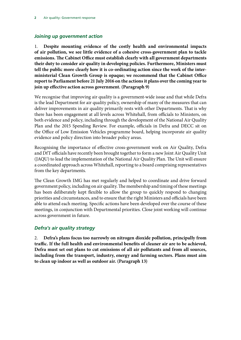### *Joining up government action*

1. **Despite mounting evidence of the costly health and environmental impacts of air pollution, we see little evidence of a cohesive cross-government plan to tackle emissions. The Cabinet Office must establish clearly with all government departments their duty to consider air quality in developing policies. Furthermore, Ministers must tell the public more clearly how it is co-ordinating action since the work of the interministerial Clean Growth Group is opaque; we recommend that the Cabinet Office report to Parliament before 21 July 2016 on the actions it plans over the coming year to join up effective action across government. (Paragraph 9)**

We recognise that improving air quality is a government-wide issue and that while Defra is the lead Department for air quality policy, ownership of many of the measures that can deliver improvements in air quality primarily rests with other Departments. That is why there has been engagement at all levels across Whitehall, from officials to Ministers, on both evidence and policy, including through the development of the National Air Quality Plan and the 2015 Spending Review. For example, officials in Defra and DECC sit on the Office of Low Emission Vehicles programme board, helping incorporate air quality evidence and policy direction into broader policy areas.

Recognising the importance of effective cross-government work on Air Quality, Defra and DfT officials have recently been brought together to form a new Joint Air Quality Unit (JAQU) to lead the implementation of the National Air Quality Plan. The Unit will ensure a coordinated approach across Whitehall, reporting to a board comprising representatives from the key departments.

The Clean Growth IMG has met regularly and helped to coordinate and drive forward government policy, including on air quality. The membership and timing of these meetings has been deliberately kept flexible to allow the group to quickly respond to changing priorities and circumstances, and to ensure that the right Ministers and officials have been able to attend each meeting. Specific actions have been developed over the course of these meetings, in conjunction with Departmental priorities. Close joint working will continue across government in future.

#### *Defra's air quality strategy*

2. **Defra's plans focus too narrowly on nitrogen dioxide pollution, principally from traffic. If the full health and environmental benefits of cleaner air are to be achieved, Defra must set out plans to cut emissions of all air pollutants and from all sources, including from the transport, industry, energy and farming sectors. Plans must aim to clean up indoor as well as outdoor air. (Paragraph 13)**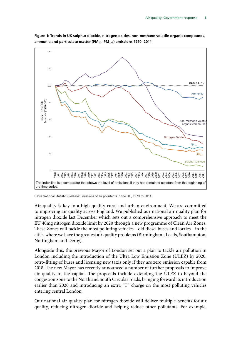

**Figure 1: Trends in UK sulphur dioxide, nitrogen oxides, non-methane volatile organic compounds, ammonia and particulate matter (PM**₁₀**–PM**₂.₅**) emissions 1970–2014**

Defra National Statistics Release: Emissions of air pollutants in the UK, 1970 to 2014

Air quality is key to a high quality rural and urban environment. We are committed to improving air quality across England. We published our national air quality plan for nitrogen dioxide last December which sets out a comprehensive approach to meet the EU 40mg nitrogen dioxide limit by 2020 through a new programme of Clean Air Zones. These Zones will tackle the most polluting vehicles—old diesel buses and lorries—in the cities where we have the greatest air quality problems (Birmingham, Leeds, Southampton, Nottingham and Derby).

Alongside this, the previous Mayor of London set out a plan to tackle air pollution in London including the introduction of the Ultra Low Emission Zone (ULEZ) by 2020, retro-fitting of buses and licensing new taxis only if they are zero emission capable from 2018. The new Mayor has recently announced a number of further proposals to improve air quality in the capital. The proposals include extending the ULEZ to beyond the congestion zone to the North and South Circular roads, bringing forward its introduction earlier than 2020 and introducing an extra "T" charge on the most polluting vehicles entering central London.

Our national air quality plan for nitrogen dioxide will deliver multiple benefits for air quality, reducing nitrogen dioxide and helping reduce other pollutants. For example,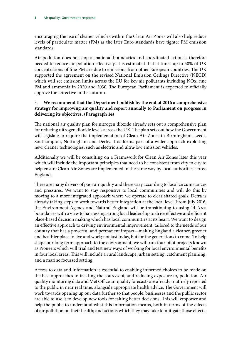encouraging the use of cleaner vehicles within the Clean Air Zones will also help reduce levels of particulate matter (PM) as the later Euro standards have tighter PM emission standards.

Air pollution does not stop at national boundaries and coordinated action is therefore needed to reduce air pollution effectively. It is estimated that at times up to 50% of UK concentrations of fine PM are due to emissions from other European countries. The UK supported the agreement on the revised National Emission Ceilings Directive (NECD) which will set emission limits across the EU for key air pollutants including NOx, fine PM and ammonia in 2020 and 2030. The European Parliament is expected to officially approve the Directive in the autumn.

### 3. **We recommend that the Department publish by the end of 2016 a comprehensive strategy for improving air quality and report annually to Parliament on progress in delivering its objectives. (Paragraph 14)**

The national air quality plan for nitrogen dioxide already sets out a comprehensive plan for reducing nitrogen dioxide levels across the UK. The plan sets out how the Government will legislate to require the implementation of Clean Air Zones in Birmingham, Leeds, Southampton, Nottingham and Derby. This forms part of a wider approach exploiting new, cleaner technologies, such as electric and ultra-low emission vehicles.

Additionally we will be consulting on a Framework for Clean Air Zones later this year which will include the important principles that need to be consistent from city to city to help ensure Clean Air Zones are implemented in the same way by local authorities across England.

There are many drivers of poor air quality and these vary according to local circumstances and pressures. We want to stay responsive to local communities and will do this by moving to a more integrated approach where we operate to clear shared goals. Defra is already taking steps to work towards better integration at the local level. From July 2016, the Environment Agency and Natural England will be transitioning to using 14 Area boundaries with a view to harnessing strong local leadership to drive effective and efficient place-based decision making which has local communities at its heart. We want to design an effective approach to driving environmental improvement, tailored to the needs of our country that has a powerful and permanent impact—making England a cleaner, greener and heathier place to live and work; not just today, but for the generations to come. To help shape our long term approach to the environment, we will run four pilot projects known as Pioneers which will trial and test new ways of working for local environmental benefits in four local areas. This will include a rural landscape, urban setting, catchment planning, and a marine focussed setting.

Access to data and information is essential to enabling informed choices to be made on the best approaches to tackling the sources of, and reducing exposure to, pollution. Air quality monitoring data and Met Office air quality forecasts are already routinely reported to the public in near real time, alongside appropriate health advice. The Government will work towards opening up our data further so that people, businesses and the public sector are able to use it to develop new tools for taking better decisions. This will empower and help the public to understand what this information means, both in terms of the effects of air pollution on their health; and actions which they may take to mitigate those effects.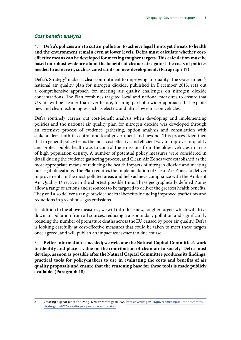#### *Cost benefit analysis*

4. **Defra's policies aim to cut air pollution to achieve legal limits yet threats to health and the environment remain even at lower levels. Defra must calculate whether costeffective means can be developed for meeting tougher targets. This calculation must be based on robust evidence about the benefits of cleaner air against the costs of policies needed to achieve it, such as constraints on new development. (Paragraph 17)**

Defra's Strategy<sup>2</sup> makes a clear commitment to improving air quality. The Government's national air quality plan for nitrogen dioxide, published in December 2015, sets out a comprehensive approach for meeting air quality challenges on nitrogen dioxide concentrations. The Plan combines targeted local and national measures to ensure that UK air will be cleaner than ever before, forming part of a wider approach that exploits new and clean technologies such as electric and ultra-low emission vehicles.

Defra routinely carries out cost-benefit analysis when developing and implementing policies and the national air quality plan for nitrogen dioxide was developed through an extensive process of evidence gathering, option analysis and consultation with stakeholders, both in central and local government and beyond. This process identified that in general policy terms the most cost effective and efficient way to improve air quality and protect public health was to control the emissions from the oldest vehicles in areas of high population density. A number of potential policy measures were considered in detail during the evidence gathering process, and Clean Air Zones were established as the most appropriate means of reducing the health impacts of nitrogen dioxide and meeting our legal obligations. The Plan requires the implementation of Clean Air Zones to deliver improvements in the most polluted areas and help achieve compliance with the Ambient Air Quality Directive in the shortest possible time. These geographically defined Zones allow a range of actions and resources to be targeted to deliver the greatest health benefits. They will also deliver a range of wider societal benefits including improved traffic flow and reductions in greenhouse gas emissions.

In addition to the above measures, we will introduce new, tougher targets which will drive down air pollution from all sources, reducing transboundary pollution and significantly reducing the number of premature deaths across the EU caused by poor air quality. Defra is looking carefully at cost-effective measures that could be taken to meet these targets once agreed, and will publish an impact assessment in due course.

5. **Better information is needed; we welcome the Natural Capital Committee's work to identify and place a value on the contribution of clean air to society. Defra must develop, as soon as possible after the Natural Capital Committee produces its findings, practical tools for policy-makers to use in evaluating the costs and benefits of air quality proposals and ensure that the reasoning base for these tools is made publicly available. (Paragraph 18)**

<sup>2</sup> Creating a great place for living: Defra's strategy to 2020 [https://www.gov.uk/government/publications/defras](https://www.gov.uk/government/publications/defras-strategy-to-2020-creating-a-great-place-for-living)[strategy-to-2020-creating-a-great-place-for-living](https://www.gov.uk/government/publications/defras-strategy-to-2020-creating-a-great-place-for-living)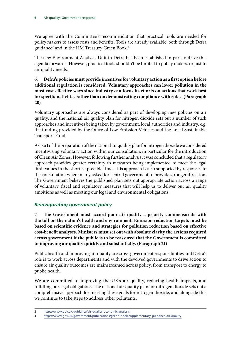We agree with the Committee's recommendation that practical tools are needed for policy makers to assess costs and benefits. Tools are already available, both through Defra guidance<sup>3</sup> and in the HM Treasury Green Book.<sup>4</sup>

The new Environment Analysis Unit in Defra has been established in part to drive this agenda forwards. However, practical tools shouldn't be limited to policy makers or just to air quality needs.

6. **Defra's policies must provide incentives for voluntary action as a first option before additional regulation is considered. Voluntary approaches can lower pollution in the most cost-effective ways since industry can focus its efforts on actions that work best for specific activities rather than on demonstrating compliance with rules. (Paragraph 20)**

Voluntary approaches are always considered as part of developing new policies on air quality, and the national air quality plan for nitrogen dioxide sets out a number of such approaches and incentives being taken by government, local authorities and industry, e.g. the funding provided by the Office of Low Emission Vehicles and the Local Sustainable Transport Fund.

As part of the preparation of the national air quality plan for nitrogen dioxide we considered incentivising voluntary action within our consultation, in particular for the introduction of Clean Air Zones. However, following further analysis it was concluded that a regulatory approach provides greater certainty to measures being implemented to meet the legal limit values in the shortest possible time. This approach is also supported by responses to the consultation where many asked for central government to provide stronger direction. The Government believes the published plan sets out appropriate action across a range of voluntary, fiscal and regulatory measures that will help us to deliver our air quality ambitions as well as meeting our legal and environmental obligations.

## *Reinvigorating government policy*

7. **The Government must accord poor air quality a priority commensurate with the toll on the nation's health and environment. Emission reduction targets must be based on scientific evidence and strategies for pollution reduction based on effective cost-benefit analyses. Ministers must set out with absolute clarity the actions required across government if the public is to be reassured that the Government is committed to improving air quality quickly and substantially. (Paragraph 21)**

Public health and improving air quality are cross-government responsibilities and Defra's role is to work across departments and with the devolved governments to drive action to ensure air quality outcomes are mainstreamed across policy, from transport to energy to public health.

We are committed to improving the UK's air quality, reducing health impacts, and fulfilling our legal obligations. The national air quality plan for nitrogen dioxide sets out a comprehensive approach for meeting these goals for nitrogen dioxide, and alongside this we continue to take steps to address other pollutants.

<sup>3</sup> <https://www.gov.uk/guidance/air-quality-economic-analysis>

<sup>4</sup> <https://www.gov.uk/government/publications/green-book-supplementary-guidance-air-quality>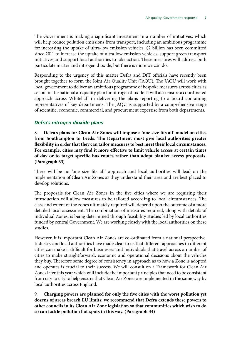The Government is making a significant investment in a number of initiatives, which will help reduce pollution emissions from transport, including an ambitious programme for increasing the uptake of ultra-low emission vehicles. £2 billion has been committed since 2011 to increase the uptake of ultra-low emission vehicles, support green transport initiatives and support local authorities to take action. These measures will address both particulate matter and nitrogen dioxide, but there is more we can do.

Responding to the urgency of this matter Defra and DfT officials have recently been brought together to form the Joint Air Quality Unit (JAQU). The JAQU will work with local government to deliver an ambitious programme of bespoke measures across cities as set out in the national air quality plan for nitrogen dioxide. It will also ensure a coordinated approach across Whitehall in delivering the plans reporting to a board containing representatives of key departments. The JAQU is supported by a comprehensive range of scientific, economic, commercial, and procurement expertise from both departments.

#### *Defra's nitrogen dioxide plans*

8. **Defra's plans for Clean Air Zones will impose a 'one size fits all' model on cities from Southampton to Leeds. The Department must give local authorities greater flexibility in order that they can tailor measures to best meet their local circumstances. For example, cities may find it more effective to limit vehicle access at certain times of day or to target specific bus routes rather than adopt blanket access proposals. (Paragraph 33)**

There will be no 'one size fits all' approach and local authorities will lead on the implementation of Clean Air Zones as they understand their area and are best placed to develop solutions.

The proposals for Clean Air Zones in the five cities where we are requiring their introduction will allow measures to be tailored according to local circumstances. The class and extent of the zones ultimately required will depend upon the outcome of a more detailed local assessment. The combination of measures required, along with details of individual Zones, is being determined through feasibility studies led by local authorities funded by central Government. We are working closely with the local authorities on these studies.

However, it is important Clean Air Zones are co-ordinated from a national perspective. Industry and local authorities have made clear to us that different approaches in different cities can make it difficult for businesses and individuals that travel across a number of cities to make straightforward, economic and operational decisions about the vehicles they buy. Therefore some degree of consistency in approach as to how a Zone is adopted and operates is crucial to their success. We will consult on a Framework for Clean Air Zones later this year which will include the important principles that need to be consistent from city to city to help ensure that Clean Air Zones are implemented in the same way by local authorities across England.

9. **Charging powers are planned for only the five cities with the worst pollution yet dozens of areas breach EU limits: we recommend that Defra extends these powers to other councils in its Clean Air Zone legislation so that communities which wish to do so can tackle pollution hot-spots in this way. (Paragraph 34)**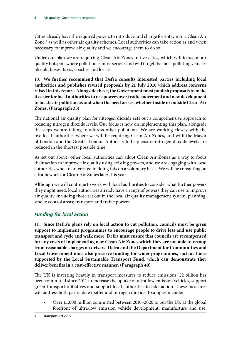Cities already have the required powers to introduce and charge for entry into a Clean Air Zone,<sup>5</sup> as well as other air quality schemes. Local authorities can take action as and when necessary to improve air quality and we encourage them to do so.

Under our plan we are requiring Clean Air Zones in five cities, which will focus on air quality hotspots where pollution is most serious and will target the most polluting vehicles like old buses, taxis, coaches and lorries.

10. **We further recommend that Defra consults interested parties including local authorities and publishes revised proposals by 21 July 2016 which address concerns raised in this report. Alongside these, the Government must publish proposals to make it easier for local authorities to use powers over traffic movement and new development to tackle air pollution as and when the need arises, whether inside or outside Clean Air Zones. (Paragraph 35)**

The national air quality plan for nitrogen dioxide sets out a comprehensive approach to reducing nitrogen dioxide levels. Our focus is now on implementing this plan, alongside the steps we are taking to address other pollutants. We are working closely with the five local authorities where we will be requiring Clean Air Zones, and with the Mayor of London and the Greater London Authority to help ensure nitrogen dioxide levels are reduced in the shortest possible time.

As set out above, other local authorities can adopt Clean Air Zones as a way to focus their action to improve air quality using existing powers, and we are engaging with local authorities who are interested in doing this on a voluntary basis. We will be consulting on a framework for Clean Air Zones later this year.

Although we will continue to work with local authorities to consider what further powers they might need, local authorities already have a range of powers they can use to improve air quality, including those set out in the local air quality management system; planning; smoke control areas; transport and traffic powers.

## *Funding for local action*

11. **Since Defra's plans rely on local action to cut pollution, councils must be given support to implement programmes to encourage people to drive less and use public transport and cycle and walk more. Defra must ensure that councils are recompensed for any costs of implementing new Clean Air Zones which they are not able to recoup from reasonable charges on drivers. Defra and the Department for Communities and Local Government must also preserve funding for wider programmes, such as those supported by the Local Sustainable Transport Fund, which can demonstrate they deliver benefits in a cost-effective manner. (Paragraph 40)**

The UK is investing heavily in transport measures to reduce emissions. £2 billion has been committed since 2011 to increase the uptake of ultra-low emission vehicles, support green transport initiatives and support local authorities to take action. These measures will address both particulate matter and nitrogen dioxide. Examples include:

• Over £1,000 million committed between 2010–2020 to put the UK at the global forefront of ultra-low emission vehicle development, manufacture and use,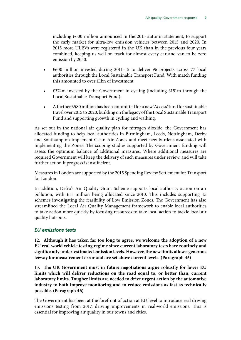including £600 million announced in the 2015 autumn statement, to support the early market for ultra-low emission vehicles between 2015 and 2020. In 2015 more ULEVs were registered in the UK than in the previous four years combined, keeping us well on track for almost every car and van to be zero emission by 2050.

- £600 million invested during 2011–15 to deliver 96 projects across 77 local authorities through the Local Sustainable Transport Fund. With match funding this amounted to over £1bn of investment.
- $£374m$  invested by the Government in cycling (including £151m through the Local Sustainable Transport Fund).
- A further £580 million has been committed for a new 'Access' fund for sustainable travel over 2015 to 2020, building on the legacy of the Local Sustainable Transport Fund and supporting growth in cycling and walking.

As set out in the national air quality plan for nitrogen dioxide, the Government has allocated funding to help local authorities in Birmingham, Leeds, Nottingham, Derby and Southampton implement Clean Air Zones and meet new burdens associated with implementing the Zones. The scoping studies supported by Government funding will assess the optimum balance of additional measures. Where additional measures are required Government will keep the delivery of such measures under review, and will take further action if progress is insufficient.

Measures in London are supported by the 2015 Spending Review Settlement for Transport for London.

In addition, Defra's Air Quality Grant Scheme supports local authority action on air pollution, with £11 million being allocated since 2010. This includes supporting 15 schemes investigating the feasibility of Low Emission Zones. The Government has also streamlined the Local Air Quality Management framework to enable local authorities to take action more quickly by focusing resources to take local action to tackle local air quality hotspots.

#### *EU emissions tests*

12. **Although it has taken far too long to agree, we welcome the adoption of a new EU real-world vehicle testing regime since current laboratory tests have routinely and significantly under-estimated emission levels. However, the new limits allow a generous leeway for measurement error and are set above current levels. (Paragraph 45)**

13. **The UK Government must in future negotiations argue robustly for lower EU limits which will deliver reductions on the road equal to, or better than, current laboratory limits. Tougher limits are needed to drive urgent action by the automotive industry to both improve monitoring and to reduce emissions as fast as technically possible. (Paragraph 46)**

The Government has been at the forefront of action at EU level to introduce real driving emissions testing from 2017, driving improvements in real-world emissions. This is essential for improving air quality in our towns and cities.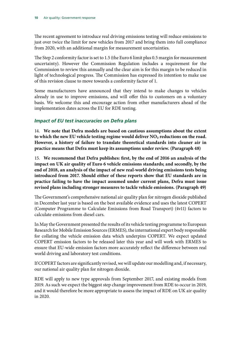The recent agreement to introduce real driving emissions testing will reduce emissions to just over twice the limit for new vehicles from 2017 and bring them into full compliance from 2020, with an additional margin for measurement uncertainties.

The Step 2 conformity factor is set to 1.5 (the Euro 6 limit plus 0.5 margin for measurement uncertainty). However the Commission Regulation includes a requirement for the Commission to review this annually and the clear aim is for this margin to be reduced in light of technological progress. The Commission has expressed its intention to make use of this revision clause to move towards a conformity factor of 1.

Some manufacturers have announced that they intend to make changes to vehicles already in use to improve emissions, and will offer this to customers on a voluntary basis. We welcome this and encourage action from other manufacturers ahead of the implementation dates across the EU for RDE testing.

#### *Impact of EU test inaccuracies on Defra plans*

14. **We note that Defra models are based on cautious assumptions about the extent to which the new EU vehicle testing regime would deliver NO₂ reductions on the road. However, a history of failure to translate theoretical standards into cleaner air in practice means that Defra must keep its assumptions under review. (Paragraph 48)**

15. **We recommend that Defra publishes: first, by the end of 2016 an analysis of the impact on UK air quality of Euro 6 vehicle emissions standards; and secondly, by the end of 2018, an analysis of the impact of new real-world driving emissions tests being introduced from 2017. Should either of these reports show that EU standards are in practice failing to have the impact assumed under current plans, Defra must issue revised plans including stronger measures to tackle vehicle emissions. (Paragraph 49)**

The Government's comprehensive national air quality plan for nitrogen dioxide published in December last year is based on the best available evidence and uses the latest COPERT (Computer Programme to Calculate Emissions from Road Transport) (4v11) factors to calculate emissions from diesel cars.

In May the Government presented the results of its vehicle testing programme to European Research for Mobile Emission Sources (ERMES), the international expert body responsible for collating the vehicle emission data which underpins COPERT. We expect updated COPERT emission factors to be released later this year and will work with ERMES to ensure that EU-wide emission factors more accurately reflect the difference between real world driving and laboratory test conditions.

If COPERT factors are significantly revised, we will update our modelling and, if necessary, our national air quality plan for nitrogen dioxide.

RDE will apply to new type approvals from September 2017, and existing models from 2019. As such we expect the biggest step change improvement from RDE to occur in 2019, and it would therefore be more appropriate to assess the impact of RDE on UK air quality in 2020.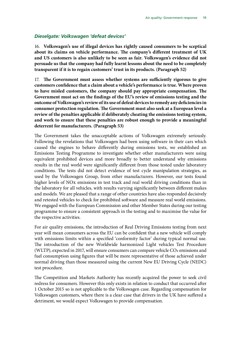#### *Dieselgate: Volkswagen 'defeat devices'*

16. **Volkswagen's use of illegal devices has rightly caused consumers to be sceptical about its claims on vehicle performance. The company's different treatment of UK and US customers is also unlikely to be seen as fair. Volkswagen's evidence did not persuade us that the company had fully learnt lessons about the need to be completely transparent if it is to regain customers' trust in its products. (Paragraph 52)**

17. **The Government must assess whether systems are sufficiently rigorous to give customers confidence that a claim about a vehicle's performance is true. Where proven to have misled customers, the company should pay appropriate compensation. The Government must act on the findings of the EU's review of emissions testing and the outcome of Volkswagen's review of its use of defeat devices to remedy any deficiencies in consumer protection regulation. The Government must also seek at a European level a review of the penalties applicable if deliberately cheating the emissions testing system, and work to ensure that these penalties are robust enough to provide a meaningful deterrent for manufacturers. (Paragraph 53)**

The Government takes the unacceptable actions of Volkswagen extremely seriously. Following the revelations that Volkswagen had been using software in their cars which caused the engines to behave differently during emissions tests, we established an Emissions Testing Programme to investigate whether other manufacturers were using equivalent prohibited devices and more broadly to better understand why emissions results in the real world were significantly different from those tested under laboratory conditions. The tests did not detect evidence of test cycle manipulation strategies, as used by the Volkswagen Group, from other manufacturers. However, our tests found higher levels of NOx emissions in test track and real world driving conditions than in the laboratory for all vehicles, with results varying significantly between different makes and models. We are pleased that a range of other countries have also responded decisively and retested vehicles to check for prohibited software and measure real world emissions. We engaged with the European Commission and other Member States during our testing programme to ensure a consistent approach in the testing and to maximise the value for the respective activities.

For air quality emissions, the introduction of Real Driving Emissions testing from next year will mean consumers across the EU can be confident that a new vehicle will comply with emissions limits within a specified 'conformity factor' during typical normal use. The introduction of the new Worldwide harmonized Light vehicles Test Procedure (WLTP), expected in 2017, will ensure consumers can compare vehicle  $CO<sub>2</sub>$  emissions and fuel consumption using figures that will be more representative of those achieved under normal driving than those measured using the current New EU Driving Cycle (NEDC) test procedure.

The Competition and Markets Authority has recently acquired the power to seek civil redress for consumers. However this only exists in relation to conduct that occurred after 1 October 2015 so is not applicable to the Volkswagen case. Regarding compensation for Volkswagen customers, where there is a clear case that drivers in the UK have suffered a detriment, we would expect Volkswagen to provide compensation.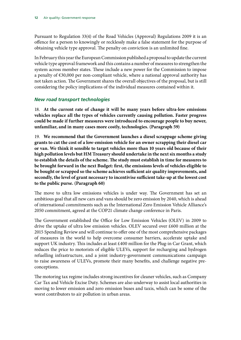Pursuant to Regulation 33(4) of the Road Vehicles (Approval) Regulations 2009 it is an offence for a person to knowingly or recklessly make a false statement for the purpose of obtaining vehicle type approval. The penalty on conviction is an unlimited fine.

In February this year the European Commission published a proposal to update the current vehicle type approval framework and this contains a number of measures to strengthen the system across member states. These include a new power for the Commission to impose a penalty of €30,000 per non-compliant vehicle, where a national approval authority has not taken action. The Government shares the overall objectives of the proposal, but is still considering the policy implications of the individual measures contained within it.

### *New road transport technologies*

18. **At the current rate of change it will be many years before ultra-low emissions vehicles replace all the types of vehicles currently causing pollution. Faster progress could be made if further measures were introduced to encourage people to buy newer, unfamiliar, and in many cases more costly, technologies. (Paragraph 59)**

19. **We recommend that the Government launches a diesel scrappage scheme giving grants to cut the cost of a low-emission vehicle for an owner scrapping their diesel car or van. We think it sensible to target vehicles more than 10 years old because of their high pollution levels but HM Treasury should undertake in the next six months a study to establish the details of the scheme. The study must establish in time for measures to be brought forward in the next Budget: first, the emissions levels of vehicles eligible to be bought or scrapped so the scheme achieves sufficient air quality improvements, and secondly, the level of grant necessary to incentivise sufficient take-up at the lowest cost to the public purse. (Paragraph 60)**

The move to ultra low emissions vehicles is under way. The Government has set an ambitious goal that all new cars and vans should be zero emission by 2040, which is ahead of international commitments such as the International Zero Emission Vehicle Alliance's 2050 commitment, agreed at the COP21 climate change conference in Paris.

The Government established the Office for Low Emission Vehicles (OLEV) in 2009 to drive the uptake of ultra low emission vehicles. OLEV secured over £600 million at the 2015 Spending Review and will continue to offer one of the most comprehensive packages of measures in the world to help overcome consumer barriers, accelerate uptake and support UK industry. This includes at least £400 million for the Plug-in Car Grant, which reduces the price to motorists of eligible ULEVs, support for recharging and hydrogen refuelling infrastructure, and a joint industry-government communications campaign to raise awareness of ULEVs, promote their many benefits, and challenge negative preconceptions.

The motoring tax regime includes strong incentives for cleaner vehicles, such as Company Car Tax and Vehicle Excise Duty. Schemes are also underway to assist local authorities in moving to lower emission and zero emission buses and taxis, which can be some of the worst contributors to air pollution in urban areas.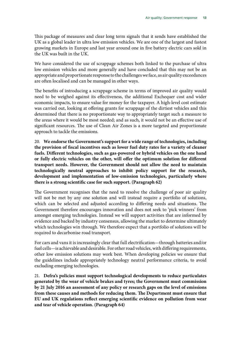This package of measures and clear long term signals that it sends have established the UK as a global leader in ultra low emission vehicles. We are one of the largest and fastest growing markets in Europe and last year around one in five battery electric cars sold in the UK was built in the UK.

We have considered the use of scrappage schemes both linked to the purchase of ultra low emission vehicles and more generally and have concluded that this may not be an appropriate and proportionate response to the challenges we face, as air quality exceedances are often localised and can be managed in other ways.

The benefits of introducing a scrappage scheme in terms of improved air quality would need to be weighed against its effectiveness, the additional Exchequer cost and wider economic impacts, to ensure value for money for the taxpayer. A high-level cost estimate was carried out, looking at offering grants for scrappage of the dirtiest vehicles and this determined that there is no proportionate way to appropriately target such a measure to the areas where it would be most needed; and as such, it would not be an effective use of significant resources. The use of Clean Air Zones is a more targeted and proportionate approach to tackle the emissions.

20. **We endorse the Government's support for a wide range of technologies, including the provision of fiscal incentives such as lower fuel duty rates for a variety of cleaner fuels. Different technologies, such as gas-powered or hybrid vehicles on the one hand or fully electric vehicles on the other, will offer the optimum solution for different transport needs. However, the Government should not allow the need to maintain technologically neutral approaches to inhibit policy support for the research, development and implementation of low-emission technologies, particularly where there is a strong scientific case for such support. (Paragraph 62)**

The Government recognises that the need to resolve the challenge of poor air quality will not be met by any one solution and will instead require a portfolio of solutions, which can be selected and adjusted according to differing needs and situations. The Government therefore encourages innovation and does not seek to 'pick winners' from amongst emerging technologies. Instead we will support activities that are informed by evidence and backed by industry consensus, allowing the market to determine ultimately which technologies win through. We therefore expect that a portfolio of solutions will be required to decarbonise road transport.

For cars and vans it is increasingly clear that full electrification—through batteries and/or fuel cells—is achievable and desirable. For other road vehicles, with differing requirements, other low emission solutions may work best. When developing policies we ensure that the guidelines include appropriately technology neutral performance criteria, to avoid excluding emerging technologies.

21. **Defra's policies must support technological developments to reduce particulates generated by the wear of vehicle brakes and tyres; the Government must commission by 21 July 2016 an assessment of any policy or research gaps on the level of emissions from these causes and methods for reducing them. The Department must ensure that EU and UK regulations reflect emerging scientific evidence on pollution from wear and tear of vehicle operation. (Paragraph 64)**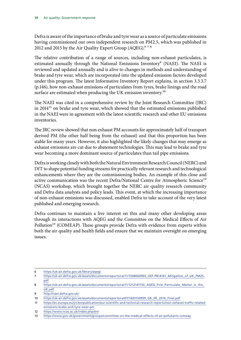Defra is aware of the importance of brake and tyre wear as a source of particulate emissions having commissioned our own independent research on PM2.5, which was published in 2012 and 2015 by the Air Quality Expert Group (AQEG).<sup>678</sup>

The relative contribution of a range of sources, including non-exhaust particulates, is estimated annually through the National Emissions Inventory<sup>9</sup> (NAEI). The NAEI is reviewed and updated annually and is alive to changes in methods and understanding of brake and tyre wear, which are incorporated into the updated emission factors developed under this program. The latest Informative Inventory Report explains, in section 3.3.3.7 (p.146), how non-exhaust emissions of particulates from tyres, brake linings and the road surface are estimated when producing the UK emission inventory.<sup>10</sup>

The NAEI was cited in a comprehensive review by the Joint Research Committee (JRC) in  $2014<sup>11</sup>$  on brake and tyre wear, which showed that the estimated emissions published in the NAEI were in agreement with the latest scientific research and other EU emissions inventories.

The JRC review showed that non exhaust PM accounts for approximately half of transport derived PM (the other half being from the exhaust) and that this proportion has been stable for many years. However, it also highlighted the likely changes that may emerge as exhaust emissions are cut due to abatement technologies. This may lead to brake and tyre wear becoming a more dominant source of particulates than tail pipe emissions.

Defra is working closely with both the Natural Environment Research Council (NERC) and DfT to shape potential funding streams for practically relevant research and technological enhancements where they are the commissioning bodies. An example of this close and active communication was the recent Defra/National Centre for Atmospheric Science<sup>12</sup> (NCAS) workshop, which brought together the NERC air quality research community and Defra data analysts and policy leads. This event, at which the increasing importance of non-exhaust emissions was discussed, enabled Defra to take account of the very latest published and emerging research.

Defra continues to maintain a live interest on this and many other developing areas through its interactions with AQEG and the Committee on the Medical Effects of Air Pollution<sup>13</sup> (COMEAP). These groups provide Defra with evidence from experts within both the air quality and health fields and ensure that we maintain oversight on emerging issues.

<sup>6</sup> <https://uk-air.defra.gov.uk/library/aqeg/>

<sup>7</sup> [https://uk-air.defra.gov.uk/assets/documents/reports/cat11/1508060903\\_DEF-PB14161\\_Mitigation\\_of\\_UK\\_PM25.](https://uk-air.defra.gov.uk/assets/documents/reports/cat11/1508060903_DEF-PB14161_Mitigation_of_UK_PM25.pdf) [pdf](https://uk-air.defra.gov.uk/assets/documents/reports/cat11/1508060903_DEF-PB14161_Mitigation_of_UK_PM25.pdf)

<sup>8</sup> [https://uk-air.defra.gov.uk/assets/documents/reports/cat11/1212141150\\_AQEG\\_Fine\\_Particulate\\_Matter\\_in\\_the\\_](https://uk-air.defra.gov.uk/assets/documents/reports/cat11/1212141150_AQEG_Fine_Particulate_Matter_in_the_UK.pdf) [UK.pdf](https://uk-air.defra.gov.uk/assets/documents/reports/cat11/1212141150_AQEG_Fine_Particulate_Matter_in_the_UK.pdf)

<sup>9</sup> <http://naei.defra.gov.uk/>

<sup>10</sup> [https://uk-air.defra.gov.uk/assets/documents/reports/cat07/1603150959\\_GB\\_IIR\\_2016\\_Final.pdf](https://uk-air.defra.gov.uk/assets/documents/reports/cat07/1603150959_GB_IIR_2016_Final.pdf)

<sup>11</sup> [https://ec.europa.eu/jrc/en/publication/eur-scientific-and-technical-research-reports/non-exhaust-traffic-related](https://ec.europa.eu/jrc/en/publication/eur-scientific-and-technical-research-reports/non-exhaust-traffic-related-emissions-brake-and-tyre-wear-pm)[emissions-brake-and-tyre-wear-pm](https://ec.europa.eu/jrc/en/publication/eur-scientific-and-technical-research-reports/non-exhaust-traffic-related-emissions-brake-and-tyre-wear-pm)

<sup>12</sup> <https://www.ncas.ac.uk/index.php/en/>

<sup>13</sup> <https://www.gov.uk/government/groups/committee-on-the-medical-effects-of-air-pollutants-comeap>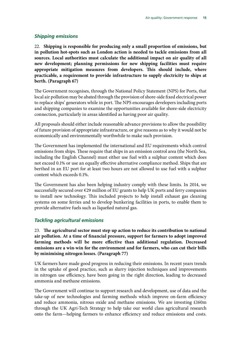#### *Shipping emissions*

22. **Shipping is responsible for producing only a small proportion of emissions, but in pollution hot-spots such as London action is needed to tackle emissions from all sources. Local authorities must calculate the additional impact on air quality of all new development; planning permissions for new shipping facilities must require appropriate mitigation measures from developers. This should include, where practicable, a requirement to provide infrastructure to supply electricity to ships at berth. (Paragraph 67)**

The Government recognises, through the National Policy Statement (NPS) for Ports, that local air pollution may be abated through the provision of shore-side fixed electrical power to replace ships' generators while in port. The NPS encourages developers including ports and shipping companies to examine the opportunities available for shore-side electricity connection, particularly in areas identified as having poor air quality.

All proposals should either include reasonable advance provisions to allow the possibility of future provision of appropriate infrastructure, or give reasons as to why it would not be economically and environmentally worthwhile to make such provision.

The Government has implemented the international and EU requirements which control emissions from ships. These require that ships in an emission control area (the North Sea, including the English Channel) must either use fuel with a sulphur content which does not exceed 0.1% or use an equally effective alternative compliance method. Ships that are berthed in an EU port for at least two hours are not allowed to use fuel with a sulphur content which exceeds 0.1%.

The Government has also been helping industry comply with these limits. In 2014, we successfully secured over €29 million of EU grants to help UK ports and ferry companies to install new technology. This included projects to help install exhaust gas cleaning systems on some ferries and to develop bunkering facilities in ports, to enable them to provide alternative fuels such as liquefied natural gas.

#### *Tackling agricultural emissions*

23. **The agricultural sector must step up action to reduce its contribution to national air pollution. At a time of financial pressure, support for farmers to adopt improved farming methods will be more effective than additional regulation. Decreased emissions are a win-win for the environment and for farmers, who can cut their bills by minimising nitrogen losses. (Paragraph 77)**

UK farmers have made good progress in reducing their emissions. In recent years trends in the uptake of good practice, such as slurry injection techniques and improvements in nitrogen use efficiency, have been going in the right direction, leading to decreased ammonia and methane emissions.

The Government will continue to support research and development, use of data and the take-up of new technologies and farming methods which improve on-farm efficiency and reduce ammonia, nitrous oxide and methane emissions. We are investing £160m through the UK Agri-Tech Strategy to help take our world class agricultural research onto the farm—helping farmers to enhance efficiency and reduce emissions and costs.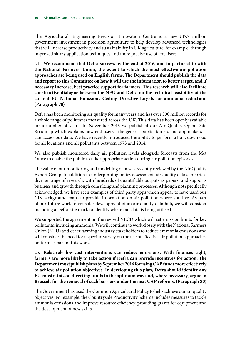The Agricultural Engineering Precision Innovation Centre is a new £17.7 million government investment in precision agriculture to help develop advanced technologies that will increase productivity and sustainability in UK agriculture; for example, through improved slurry application techniques and more precise use of fertilisers.

24. **We recommend that Defra surveys by the end of 2016, and in partnership with the National Farmers' Union, the extent to which the most effective air pollution approaches are being used on English farms. The Department should publish the data and report to this Committee on how it will use the information to better target, and if necessary increase, best practice support for farmers. This research will also facilitate constructive dialogue between the NFU and Defra on the technical feasibility of the current EU National Emissions Ceiling Directive targets for ammonia reduction. (Paragraph 78)**

Defra has been monitoring air quality for many years and has over 300 million records for a whole range of pollutants measured across the UK. This data has been openly available for a number of years. In November 2015 we published our Air Quality Open Data Roadmap which explains how end users—the general public, famers and app makers can access our data. We have recently introduced the ability to perform a bulk download for all locations and all pollutants between 1973 and 2014.

We also publish monitored daily air pollution levels alongside forecasts from the Met Office to enable the public to take appropriate action during air pollution episodes.

The value of our monitoring and modelling data was recently reviewed by the Air Quality Expert Group. In addition to underpinning policy assessment, air quality data supports a diverse range of research, with hundreds of quantifiable outputs as papers, and supports business and growth through consulting and planning processes. Although not specifically acknowledged, we have seen examples of third party apps which appear to have used our GIS background maps to provide information on air pollution where you live. As part of our future work to consider development of an air quality data hub, we will consider including a Defra kite mark to identify where our data is being utilised.

We supported the agreement on the revised NECD which will set emission limits for key pollutants, including ammonia. We will continue to work closely with the National Farmers Union (NFU) and other farming industry stakeholders to reduce ammonia emissions and will consider the need for a specific survey on the use of effective air pollution approaches on-farm as part of this work.

25. **Relatively low-cost interventions can reduce emissions. With finances tight, farmers are more likely to take action if Defra can provide incentives for action. The Department must publish plans by September 2016 for using CAP funds more effectively to achieve air pollution objectives. In developing this plan, Defra should identify any EU constraints on directing funds in the optimum way and, where necessary, argue in Brussels for the removal of such barriers under the next CAP reforms. (Paragraph 80)**

The Government has used the Common Agricultural Policy to help achieve our air quality objectives. For example, the Countryside Productivity Scheme includes measures to tackle ammonia emissions and improve resource efficiency, providing grants for equipment and the development of new skills.